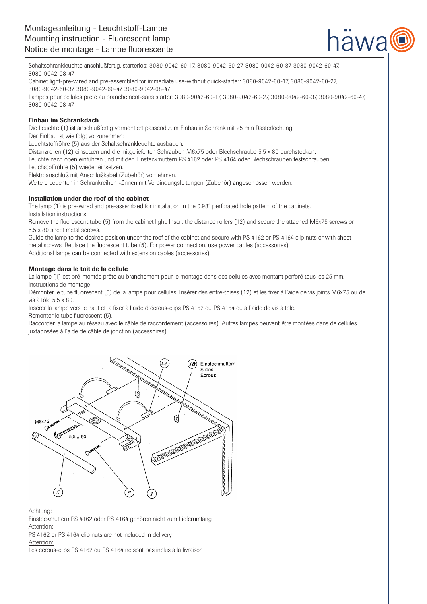

Schaltschrankleuchte anschlußfertig, starterlos: 3080-9042-60-17, 3080-9042-60-27, 3080-9042-60-37, 3080-9042-60-47, 3080-9042-08-47

Cabinet light-pre-wired and pre-assembled for immediate use-without quick-starter: 3080-9042-60-17, 3080-9042-60-27, 3080-9042-60-37, 3080-9042-60-47, 3080-9042-08-47

Lampes pour cellules prête au branchement-sans starter: 3080-9042-60-17, 3080-9042-60-27, 3080-9042-60-37, 3080-9042-60-47, 3080-9042-08-47

# Einbau im Schrankdach

Die Leuchte (1) ist anschlußfertig vormontiert passend zum Einbau in Schrank mit 25 mm Rasterlochung.

Der Einbau ist wie folgt vorzunehmen:

Leuchtstoffröhre (5) aus der Schaltschrankleuchte ausbauen.

Distanzrollen (12) einsetzen und die mitgelieferten Schrauben M6x75 oder Blechschraube 5,5 x 80 durchstecken.

Leuchte nach oben einführen und mit den Einsteckmuttern PS 4162 oder PS 4164 oder Blechschrauben festschrauben.

Leuchstoffröhre (5) wieder einsetzen.

Elektroanschluß mit Anschlußkabel (Zubehör) vornehmen.

Weitere Leuchten in Schrankreihen können mit Verbindungsleitungen (Zubehör) angeschlossen werden.

# Installation under the roof of the cabinet

The lamp (1) is pre-wired and pre-assembled for installation in the 0.98" perforated hole pattern of the cabinets. Installation instructions:

Remove the fluorescent tube (5) from the cabinet light. Insert the distance rollers (12) and secure the attached M6x75 screws or 5.5 x 80 sheet metal screws.

Guide the lamp to the desired position under the roof of the cabinet and secure with PS 4162 or PS 4164 clip nuts or with sheet metal screws. Replace the fluorescent tube (5). For power connection, use power cables (accessories) Additional lamps can be connected with extension cables (accessories).

# Montage dans le toît de la cellule

La lampe (1) est pré-montée prête au branchement pour le montage dans des cellules avec montant perforé tous les 25 mm. Instructions de montage:

Démonter le tube fluorescent (5) de la lampe pour cellules. Insérer des entre-toises (12) et les fixer à l`aide de vis joints M6x75 ou de vis à tôle 5,5 x 80.

Insérer la lampe vers le haut et la fixer à l`aide d`écrous-clips PS 4162 ou PS 4164 ou à l`aide de vis à tole. Remonter le tube fluorescent (5).

Raccorder la lampe au réseau avec le câble de raccordement (accessoires). Autres lampes peuvent être montées dans de cellules juxtaposées à l`aide de câble de jonction (accessoires)



# Achtung:

Einsteckmuttern PS 4162 oder PS 4164 gehören nicht zum Lieferumfang Attention:

PS 4162 or PS 4164 clip nuts are not included in delivery

Attention:

Les écrous-clips PS 4162 ou PS 4164 ne sont pas inclus à la livraison